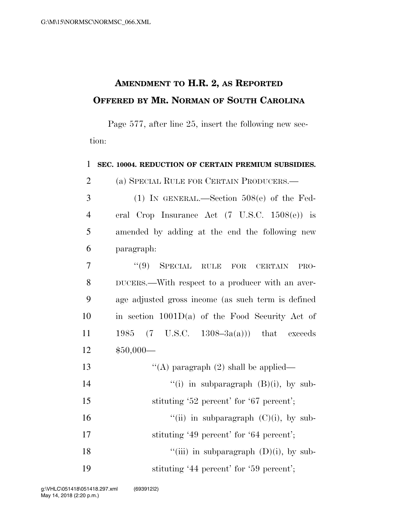## **AMENDMENT TO H.R. 2, AS REPORTED OFFERED BY MR. NORMAN OF SOUTH CAROLINA**

Page 577, after line 25, insert the following new section:

1 **SEC. 10004. REDUCTION OF CERTAIN PREMIUM SUBSIDIES.** 

2 (a) SPECIAL RULE FOR CERTAIN PRODUCERS.—

- 3 (1) IN GENERAL.—Section 508(e) of the Fed-4 eral Crop Insurance Act (7 U.S.C. 1508(e)) is 5 amended by adding at the end the following new 6 paragraph:
- 7 ''(9) SPECIAL RULE FOR CERTAIN PRO-8 DUCERS.—With respect to a producer with an aver-9 age adjusted gross income (as such term is defined 10 in section 1001D(a) of the Food Security Act of 11 1985 (7 U.S.C. 1308–3a(a))) that exceeds 12 \$50,000—
- 13  $\langle (A)$  paragraph (2) shall be applied—
- 14  $"(i)$  in subparagraph  $(B)(i)$ , by sub-
- 15 stituting '52 percent' for '67 percent';
- 16  $"$ (ii) in subparagraph (C)(i), by sub-
- 17 stituting '49 percent' for '64 percent';
- 18  $"$ (iii) in subparagraph (D)(i), by sub-19 stituting '44 percent' for '59 percent';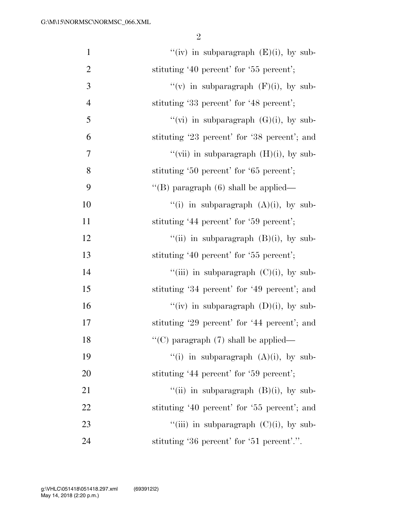2

| $\mathbf{1}$   | "(iv) in subparagraph $(E)(i)$ , by sub-     |
|----------------|----------------------------------------------|
| $\overline{c}$ | stituting '40 percent' for '55 percent';     |
| $\mathfrak{Z}$ | "(v) in subparagraph $(F)(i)$ , by sub-      |
| $\overline{4}$ | stituting '33 percent' for '48 percent';     |
| 5              | "(vi) in subparagraph $(G)(i)$ , by sub-     |
| 6              | stituting '23 percent' for '38 percent'; and |
| $\overline{7}$ | "(vii) in subparagraph $(H)(i)$ , by sub-    |
| 8              | stituting '50 percent' for '65 percent';     |
| 9              | "(B) paragraph $(6)$ shall be applied—       |
| 10             | "(i) in subparagraph $(A)(i)$ , by sub-      |
| 11             | stituting '44 percent' for '59 percent';     |
| 12             | "(ii) in subparagraph $(B)(i)$ , by sub-     |
| 13             | stituting '40 percent' for '55 percent';     |
| 14             | "(iii) in subparagraph $(C)(i)$ , by sub-    |
| 15             | stituting '34 percent' for '49 percent'; and |
| 16             | "(iv) in subparagraph $(D)(i)$ , by sub-     |
| 17             | stituting '29 percent' for '44 percent'; and |
| 18             | "(C) paragraph $(7)$ shall be applied—       |
| 19             | "(i) in subparagraph $(A)(i)$ , by sub-      |
| 20             | stituting '44 percent' for '59 percent';     |
| 21             | "(ii) in subparagraph $(B)(i)$ , by sub-     |
| 22             | stituting '40 percent' for '55 percent'; and |
| 23             | "(iii) in subparagraph $(C)(i)$ , by sub-    |
| 24             | stituting '36 percent' for '51 percent'.".   |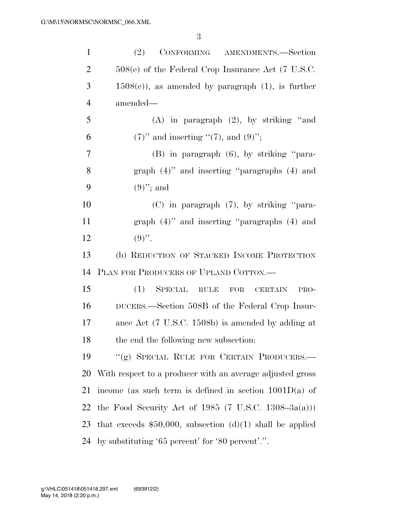| $\mathbf{1}$   | (2)<br>CONFORMING AMENDMENTS.-Section                       |
|----------------|-------------------------------------------------------------|
| $\overline{2}$ | $508(e)$ of the Federal Crop Insurance Act (7 U.S.C.        |
| 3              | $1508(e)$ , as amended by paragraph $(1)$ , is further      |
| $\overline{4}$ | amended—                                                    |
| 5              | $(A)$ in paragraph $(2)$ , by striking "and                 |
| 6              | $(7)$ " and inserting " $(7)$ , and $(9)$ ";                |
| 7              | $(B)$ in paragraph $(6)$ , by striking "para-               |
| 8              | graph $(4)$ " and inserting "paragraphs $(4)$ and           |
| 9              | $(9)$ "; and                                                |
| 10             | $(C)$ in paragraph $(7)$ , by striking "para-               |
| 11             | graph $(4)$ " and inserting "paragraphs $(4)$ and           |
| 12             | $(9)$ ".                                                    |
| 13             | (b) REDUCTION OF STACKED INCOME PROTECTION                  |
| 14             | PLAN FOR PRODUCERS OF UPLAND COTTON.—                       |
| 15             | (1)<br>SPECIAL RULE FOR<br><b>CERTAIN</b><br>PRO-           |
| 16             | DUCERS.—Section 508B of the Federal Crop Insur-             |
| 17             | ance Act (7 U.S.C. 1508b) is amended by adding at           |
| 18             | the end the following new subsection:                       |
| 19             | "(g) SPECIAL RULE FOR CERTAIN PRODUCERS.—                   |
| <b>20</b>      | With respect to a producer with an average adjusted gross   |
| 21             | income (as such term is defined in section $1001D(a)$ of    |
| 22             | the Food Security Act of 1985 (7 U.S.C. 1308–3 $a(a))$ )    |
| 23             | that exceeds $$50,000$ , subsection (d)(1) shall be applied |
| 24             | by substituting '65 percent' for '80 percent'.".            |